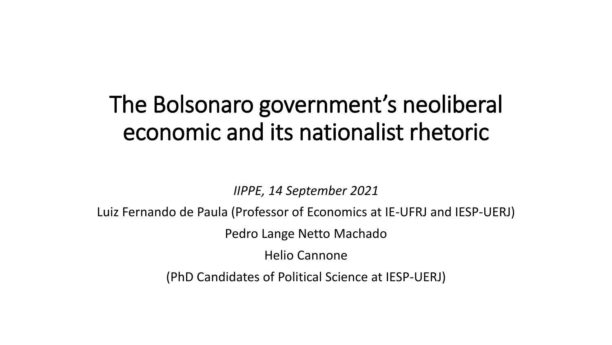### The Bolsonaro government's neoliberal economic and its nationalist rhetoric

*IIPPE, 14 September 2021*

Luiz Fernando de Paula (Professor of Economics at IE-UFRJ and IESP-UERJ)

Pedro Lange Netto Machado

Helio Cannone

(PhD Candidates of Political Science at IESP-UERJ)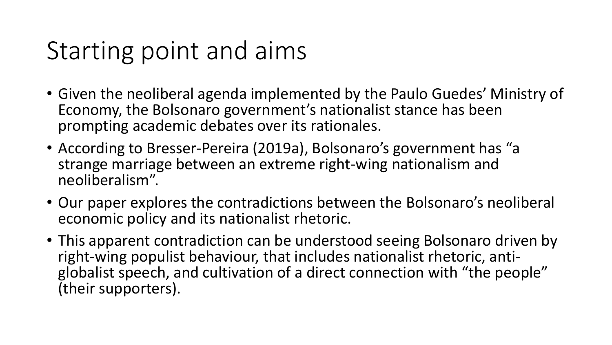## Starting point and aims

- Given the neoliberal agenda implemented by the Paulo Guedes' Ministry of Economy, the Bolsonaro government's nationalist stance has been prompting academic debates over its rationales.
- According to Bresser-Pereira (2019a), Bolsonaro's government has "a strange marriage between an extreme right-wing nationalism and neoliberalism".
- Our paper explores the contradictions between the Bolsonaro's neoliberal economic policy and its nationalist rhetoric.
- This apparent contradiction can be understood seeing Bolsonaro driven by right-wing populist behaviour, that includes nationalist rhetoric, antiglobalist speech, and cultivation of a direct connection with "the people" (their supporters).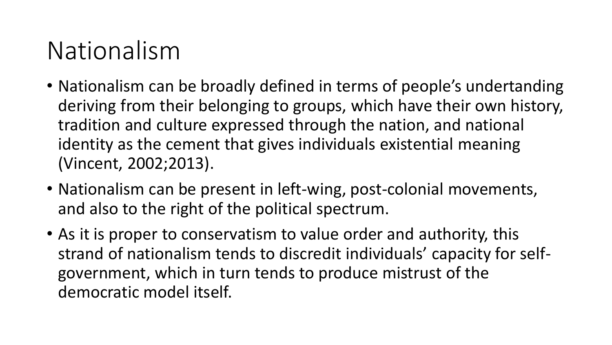## Nationalism

- Nationalism can be broadly defined in terms of people's undertanding deriving from their belonging to groups, which have their own history, tradition and culture expressed through the nation, and national identity as the cement that gives individuals existential meaning (Vincent, 2002;2013).
- Nationalism can be present in left-wing, post-colonial movements, and also to the right of the political spectrum.
- As it is proper to conservatism to value order and authority, this strand of nationalism tends to discredit individuals' capacity for selfgovernment, which in turn tends to produce mistrust of the democratic model itself.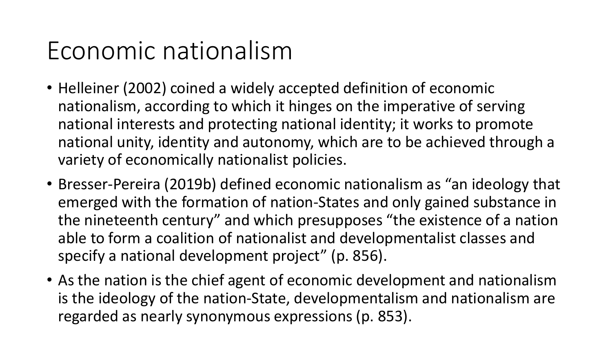## Economic nationalism

- Helleiner (2002) coined a widely accepted definition of economic nationalism, according to which it hinges on the imperative of serving national interests and protecting national identity; it works to promote national unity, identity and autonomy, which are to be achieved through a variety of economically nationalist policies.
- Bresser-Pereira (2019b) defined economic nationalism as "an ideology that emerged with the formation of nation-States and only gained substance in the nineteenth century" and which presupposes "the existence of a nation able to form a coalition of nationalist and developmentalist classes and specify a national development project" (p. 856).
- As the nation is the chief agent of economic development and nationalism is the ideology of the nation-State, developmentalism and nationalism are regarded as nearly synonymous expressions (p. 853).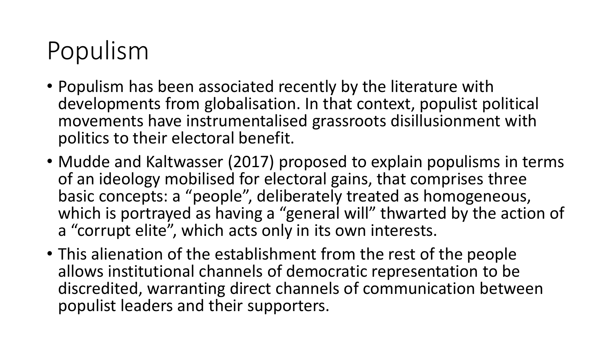## Populism

- Populism has been associated recently by the literature with developments from globalisation. In that context, populist political movements have instrumentalised grassroots disillusionment with politics to their electoral benefit.
- Mudde and Kaltwasser (2017) proposed to explain populisms in terms of an ideology mobilised for electoral gains, that comprises three basic concepts: a "people", deliberately treated as homogeneous, which is portrayed as having a "general will" thwarted by the action of a "corrupt elite", which acts only in its own interests.
- This alienation of the establishment from the rest of the people allows institutional channels of democratic representation to be discredited, warranting direct channels of communication between populist leaders and their supporters.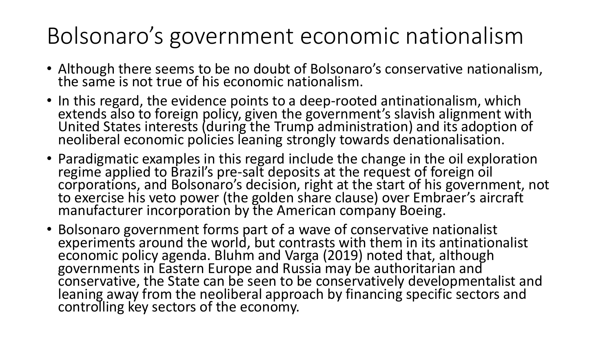#### Bolsonaro's government economic nationalism

- Although there seems to be no doubt of Bolsonaro's conservative nationalism, the same is not true of his economic nationalism.
- In this regard, the evidence points to a deep-rooted antinationalism, which extends also to foreign policy, given the government's slavish alignment with United States interests (during the Trump administration) and its adoption of neoliberal economic policies leaning strongly towards denationalisation.
- Paradigmatic examples in this regard include the change in the oil exploration regime applied to Brazil's pre-salt deposits at the request of foreign oil corporations, and Bolsonaro's decision, right at the start of his government, not to exercise his veto power (the golden share clause) over Embraer's aircraft manufacturer incorporation by the American company Boeing.
- Bolsonaro government forms part of a wave of conservative nationalist experiments around the world, but contrasts with them in its antinationalist economic policy agenda. Bluhm and Varga (2019) noted that, although governments in Eastern Europe and Russia may be authoritarian and conservative, the State can be seen to be conservatively developmentalist and leaning away from the neoliberal approach by financing specific sectors and controlling key sectors of the economy.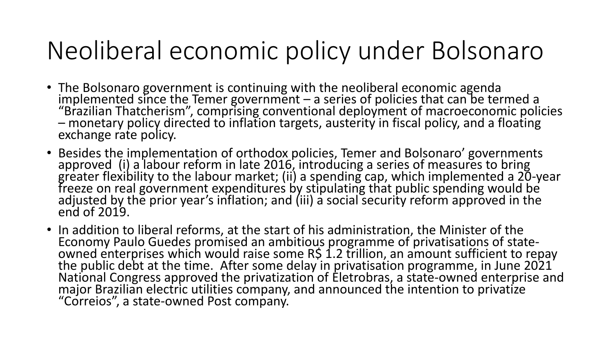## Neoliberal economic policy under Bolsonaro

- The Bolsonaro government is continuing with the neoliberal economic agenda implemented since the Temer government  $-$  a series of policies that can be termed a "Brazilian Thatcherism", comprising conventional deployment of macroeconomic policies – monetary policy directed to inflation targets, austerity in fiscal policy, and a floating exchange rate policy.
- Besides the implementation of orthodox policies, Temer and Bolsonaro' governments approved (i) a labour reform in late 2016, introducing a series of measures to bring greater flexibility to the labour market; (ii) a spending cap, which implemented a 20-year freeze on real government expenditures by stipulating that public spending would be adjusted by the prior year's inflation; and (iii) a social security reform approved in the end of 2019.
- In addition to liberal reforms, at the start of his administration, the Minister of the Economy Paulo Guedes promised an ambitious programme of privatisations of stateowned enterprises which would raise some R\$ 1.2 trillion, an amount sufficient to repay the public debt at the time. After some delay in privatisation programme, in June 2021 National Congress approved the privatization of Eletrobras, a state-owned enterprise and major Brazilian electric utilities company, and announced the intention to privatize "Correios", a state-owned Post company.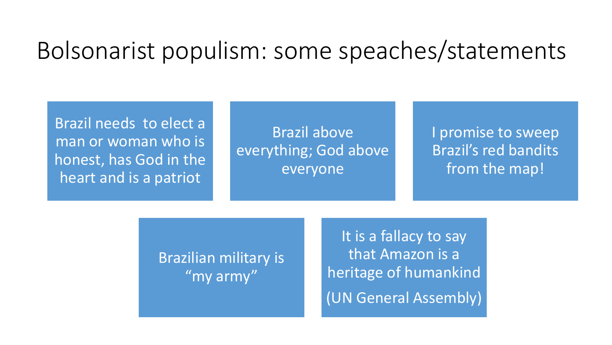#### Bolsonarist populism: some speaches/statements

Brazil needs to elect a man or woman who is honest, has God in the heart and is a patriot

Brazil above everything; God above everyone

I promise to sweep Brazil's red bandits from the map!

Brazilian military is "my army"

It is a fallacy to say that Amazon is a heritage of humankind (UN General Assembly)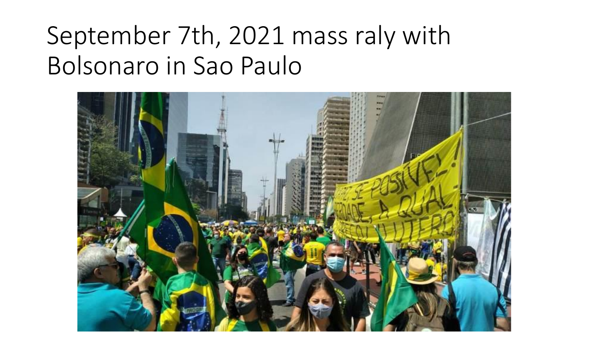## September 7th, 2021 mass raly with Bolsonaro in Sao Paulo

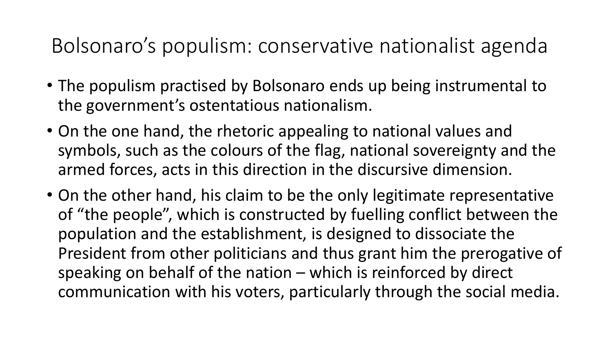#### Bolsonaro's populism: conservative nationalist agenda

- The populism practised by Bolsonaro ends up being instrumental to the government's ostentatious nationalism.
- On the one hand, the rhetoric appealing to national values and symbols, such as the colours of the flag, national sovereignty and the armed forces, acts in this direction in the discursive dimension.
- On the other hand, his claim to be the only legitimate representative of "the people", which is constructed by fuelling conflict between the population and the establishment, is designed to dissociate the President from other politicians and thus grant him the prerogative of speaking on behalf of the nation – which is reinforced by direct communication with his voters, particularly through the social media.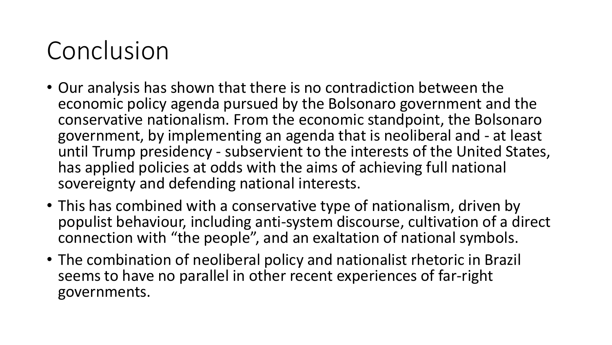## Conclusion

- Our analysis has shown that there is no contradiction between the economic policy agenda pursued by the Bolsonaro government and the conservative nationalism. From the economic standpoint, the Bolsonaro government, by implementing an agenda that is neoliberal and - at least until Trump presidency - subservient to the interests of the United States, has applied policies at odds with the aims of achieving full national sovereignty and defending national interests.
- This has combined with a conservative type of nationalism, driven by populist behaviour, including anti-system discourse, cultivation of a direct connection with "the people", and an exaltation of national symbols.
- The combination of neoliberal policy and nationalist rhetoric in Brazil seems to have no parallel in other recent experiences of far-right governments.